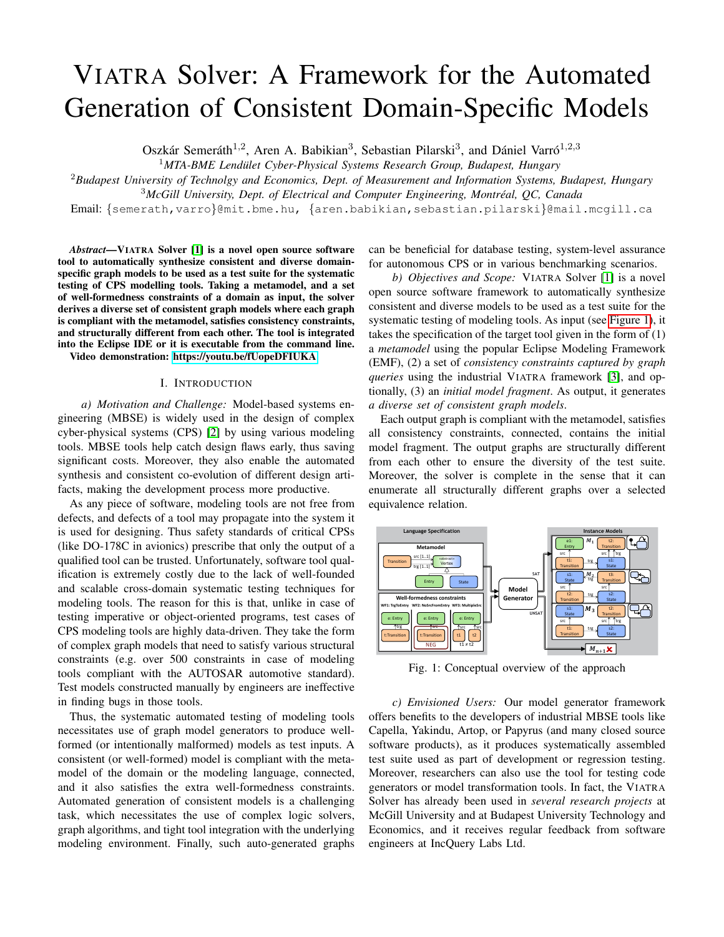# VIATRA Solver: A Framework for the Automated Generation of Consistent Domain-Specific Models

Oszkár Semeráth<sup>1,2</sup>, Aren A. Babikian<sup>3</sup>, Sebastian Pilarski<sup>3</sup>, and Dániel Varró<sup>1,2,3</sup>

<sup>1</sup>MTA-BME Lendület Cyber-Physical Systems Research Group, Budapest, Hungary

<sup>2</sup>*Budapest University of Technolgy and Economics, Dept. of Measurement and Information Systems, Budapest, Hungary*

<sup>3</sup>McGill University, Dept. of Electrical and Computer Engineering, Montréal, QC, Canada

Email: {semerath,varro}@mit.bme.hu, {aren.babikian,sebastian.pilarski}@mail.mcgill.ca

*Abstract*—VIATRA Solver [\[1\]](#page-3-0) is a novel open source software tool to automatically synthesize consistent and diverse domainspecific graph models to be used as a test suite for the systematic testing of CPS modelling tools. Taking a metamodel, and a set of well-formedness constraints of a domain as input, the solver derives a diverse set of consistent graph models where each graph is compliant with the metamodel, satisfies consistency constraints, and structurally different from each other. The tool is integrated into the Eclipse IDE or it is executable from the command line.

Video demonstration:<https://youtu.be/fUopeDFIUKA>

# I. INTRODUCTION

*a) Motivation and Challenge:* Model-based systems engineering (MBSE) is widely used in the design of complex cyber-physical systems (CPS) [\[2\]](#page-3-1) by using various modeling tools. MBSE tools help catch design flaws early, thus saving significant costs. Moreover, they also enable the automated synthesis and consistent co-evolution of different design artifacts, making the development process more productive.

As any piece of software, modeling tools are not free from defects, and defects of a tool may propagate into the system it is used for designing. Thus safety standards of critical CPSs (like DO-178C in avionics) prescribe that only the output of a qualified tool can be trusted. Unfortunately, software tool qualification is extremely costly due to the lack of well-founded and scalable cross-domain systematic testing techniques for modeling tools. The reason for this is that, unlike in case of testing imperative or object-oriented programs, test cases of CPS modeling tools are highly data-driven. They take the form of complex graph models that need to satisfy various structural constraints (e.g. over 500 constraints in case of modeling tools compliant with the AUTOSAR automotive standard). Test models constructed manually by engineers are ineffective in finding bugs in those tools.

Thus, the systematic automated testing of modeling tools necessitates use of graph model generators to produce wellformed (or intentionally malformed) models as test inputs. A consistent (or well-formed) model is compliant with the metamodel of the domain or the modeling language, connected, and it also satisfies the extra well-formedness constraints. Automated generation of consistent models is a challenging task, which necessitates the use of complex logic solvers, graph algorithms, and tight tool integration with the underlying modeling environment. Finally, such auto-generated graphs

can be beneficial for database testing, system-level assurance for autonomous CPS or in various benchmarking scenarios.

*b) Objectives and Scope:* VIATRA Solver [\[1\]](#page-3-0) is a novel open source software framework to automatically synthesize consistent and diverse models to be used as a test suite for the systematic testing of modeling tools. As input (see [Figure 1\)](#page-0-0), it takes the specification of the target tool given in the form of (1) a *metamodel* using the popular Eclipse Modeling Framework (EMF), (2) a set of *consistency constraints captured by graph queries* using the industrial VIATRA framework [\[3\]](#page-3-2), and optionally, (3) an *initial model fragment*. As output, it generates *a diverse set of consistent graph models*.

Each output graph is compliant with the metamodel, satisfies all consistency constraints, connected, contains the initial model fragment. The output graphs are structurally different from each other to ensure the diversity of the test suite. Moreover, the solver is complete in the sense that it can enumerate all structurally different graphs over a selected equivalence relation.

<span id="page-0-0"></span>

Fig. 1: Conceptual overview of the approach

*c) Envisioned Users:* Our model generator framework offers benefits to the developers of industrial MBSE tools like Capella, Yakindu, Artop, or Papyrus (and many closed source software products), as it produces systematically assembled test suite used as part of development or regression testing. Moreover, researchers can also use the tool for testing code generators or model transformation tools. In fact, the VIATRA Solver has already been used in *several research projects* at McGill University and at Budapest University Technology and Economics, and it receives regular feedback from software engineers at IncQuery Labs Ltd.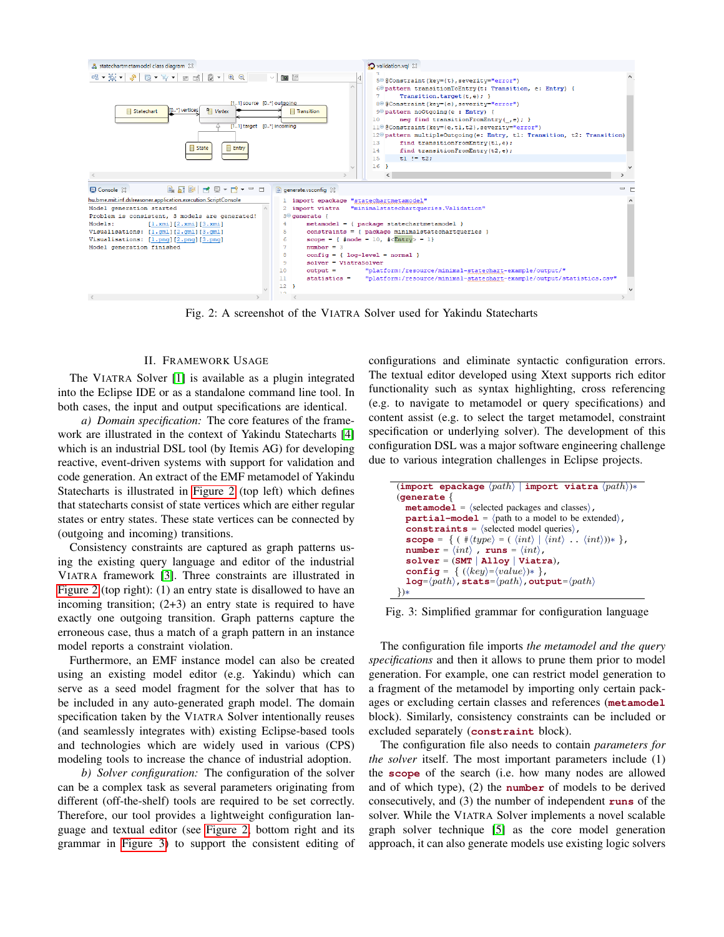<span id="page-1-0"></span>

Fig. 2: A screenshot of the VIATRA Solver used for Yakindu Statecharts

### II. FRAMEWORK USAGE

The VIATRA Solver [\[1\]](#page-3-0) is available as a plugin integrated into the Eclipse IDE or as a standalone command line tool. In both cases, the input and output specifications are identical.

*a) Domain specification:* The core features of the framework are illustrated in the context of Yakindu Statecharts [\[4\]](#page-3-3) which is an industrial DSL tool (by Itemis AG) for developing reactive, event-driven systems with support for validation and code generation. An extract of the EMF metamodel of Yakindu Statecharts is illustrated in [Figure 2](#page-1-0) (top left) which defines that statecharts consist of state vertices which are either regular states or entry states. These state vertices can be connected by (outgoing and incoming) transitions.

Consistency constraints are captured as graph patterns using the existing query language and editor of the industrial VIATRA framework [\[3\]](#page-3-2). Three constraints are illustrated in [Figure 2](#page-1-0) (top right): (1) an entry state is disallowed to have an incoming transition;  $(2+3)$  an entry state is required to have exactly one outgoing transition. Graph patterns capture the erroneous case, thus a match of a graph pattern in an instance model reports a constraint violation.

Furthermore, an EMF instance model can also be created using an existing model editor (e.g. Yakindu) which can serve as a seed model fragment for the solver that has to be included in any auto-generated graph model. The domain specification taken by the VIATRA Solver intentionally reuses (and seamlessly integrates with) existing Eclipse-based tools and technologies which are widely used in various (CPS) modeling tools to increase the chance of industrial adoption.

*b) Solver configuration:* The configuration of the solver can be a complex task as several parameters originating from different (off-the-shelf) tools are required to be set correctly. Therefore, our tool provides a lightweight configuration language and textual editor (see [Figure 2;](#page-1-0) bottom right and its grammar in [Figure 3\)](#page-1-1) to support the consistent editing of

configurations and eliminate syntactic configuration errors. The textual editor developed using Xtext supports rich editor functionality such as syntax highlighting, cross referencing (e.g. to navigate to metamodel or query specifications) and content assist (e.g. to select the target metamodel, constraint specification or underlying solver). The development of this configuration DSL was a major software engineering challenge due to various integration challenges in Eclipse projects.

```
(\text{import epackage } \langle path \rangle | \text{ import viatra } \langle path \rangle)*
(generate {
   metamodel = \langle selected packages and classes \rangle,partial-model = \langle path to a model to be extended \rangle,
   constraints = \langle selected model queries\rangle,
   scope = { ( \#\langle type \rangle = (\ \langle int \rangle \ | \ \langle int \rangle \ ... \ \langle int \rangle))* },
   number = \langle int \rangle, runs = \langle int \rangle,
   solver = (SMT | Alloy | Viatra),
   \texttt{config} = \{ (\langle key \rangle = \langle value \rangle) * \},\texttt{log=}\langle path \rangle, stats=\langle path \rangle, output=\langle path \rangle})∗
```
Fig. 3: Simplified grammar for configuration language

The configuration file imports *the metamodel and the query specifications* and then it allows to prune them prior to model generation. For example, one can restrict model generation to a fragment of the metamodel by importing only certain packages or excluding certain classes and references (**metamodel** block). Similarly, consistency constraints can be included or excluded separately (**constraint** block).

The configuration file also needs to contain *parameters for the solver* itself. The most important parameters include (1) the **scope** of the search (i.e. how many nodes are allowed and of which type), (2) the **number** of models to be derived consecutively, and (3) the number of independent **runs** of the solver. While the VIATRA Solver implements a novel scalable graph solver technique [\[5\]](#page-3-4) as the core model generation approach, it can also generate models use existing logic solvers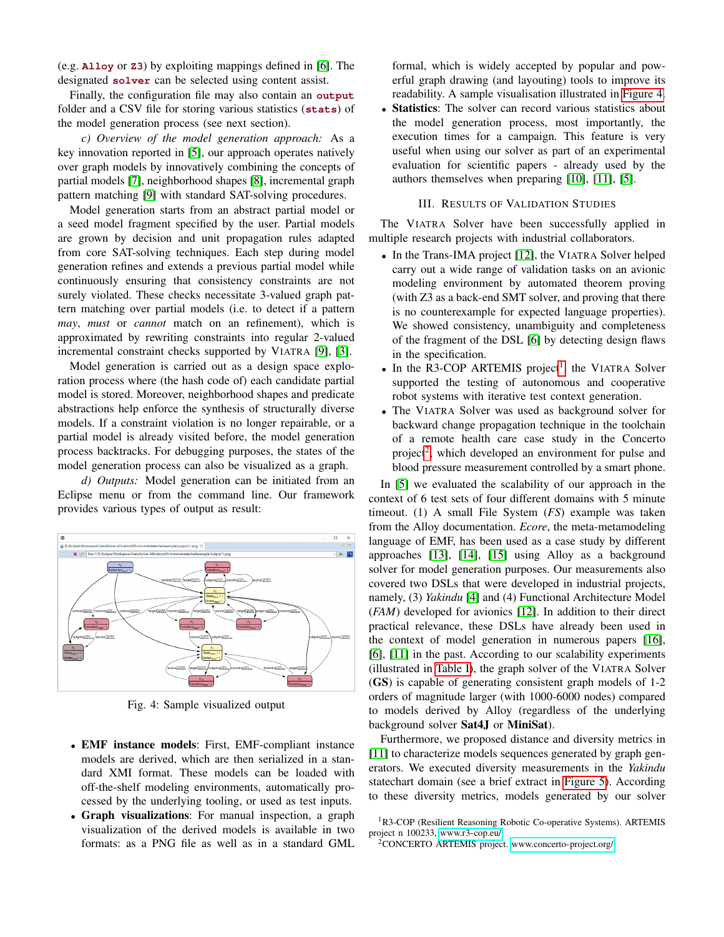(e.g. **Alloy** or **Z3**) by exploiting mappings defined in [\[6\]](#page-3-5). The designated **solver** can be selected using content assist.

Finally, the configuration file may also contain an **output** folder and a CSV file for storing various statistics (**stats**) of the model generation process (see next section).

*c) Overview of the model generation approach:* As a key innovation reported in [\[5\]](#page-3-4), our approach operates natively over graph models by innovatively combining the concepts of partial models [\[7\]](#page-3-6), neighborhood shapes [\[8\]](#page-3-7), incremental graph pattern matching [\[9\]](#page-3-8) with standard SAT-solving procedures.

Model generation starts from an abstract partial model or a seed model fragment specified by the user. Partial models are grown by decision and unit propagation rules adapted from core SAT-solving techniques. Each step during model generation refines and extends a previous partial model while continuously ensuring that consistency constraints are not surely violated. These checks necessitate 3-valued graph pattern matching over partial models (i.e. to detect if a pattern *may*, *must* or *cannot* match on an refinement), which is approximated by rewriting constraints into regular 2-valued incremental constraint checks supported by VIATRA [\[9\]](#page-3-8), [\[3\]](#page-3-2).

Model generation is carried out as a design space exploration process where (the hash code of) each candidate partial model is stored. Moreover, neighborhood shapes and predicate abstractions help enforce the synthesis of structurally diverse models. If a constraint violation is no longer repairable, or a partial model is already visited before, the model generation process backtracks. For debugging purposes, the states of the model generation process can also be visualized as a graph.

*d) Outputs:* Model generation can be initiated from an Eclipse menu or from the command line. Our framework provides various types of output as result:

<span id="page-2-0"></span>

Fig. 4: Sample visualized output

- EMF instance models: First, EMF-compliant instance models are derived, which are then serialized in a standard XMI format. These models can be loaded with off-the-shelf modeling environments, automatically processed by the underlying tooling, or used as test inputs.
- Graph visualizations: For manual inspection, a graph visualization of the derived models is available in two formats: as a PNG file as well as in a standard GML

formal, which is widely accepted by popular and powerful graph drawing (and layouting) tools to improve its readability. A sample visualisation illustrated in [Figure 4.](#page-2-0)

Statistics: The solver can record various statistics about the model generation process, most importantly, the execution times for a campaign. This feature is very useful when using our solver as part of an experimental evaluation for scientific papers - already used by the authors themselves when preparing [\[10\]](#page-3-9), [\[11\]](#page-3-10), [\[5\]](#page-3-4).

## III. RESULTS OF VALIDATION STUDIES

The VIATRA Solver have been successfully applied in multiple research projects with industrial collaborators.

- In the Trans-IMA project [\[12\]](#page-3-11), the VIATRA Solver helped carry out a wide range of validation tasks on an avionic modeling environment by automated theorem proving (with Z3 as a back-end SMT solver, and proving that there is no counterexample for expected language properties). We showed consistency, unambiguity and completeness of the fragment of the DSL [\[6\]](#page-3-5) by detecting design flaws in the specification.
- $\bullet$  In the R3-COP ARTEMIS project<sup>[1](#page-2-1)</sup>, the VIATRA Solver supported the testing of autonomous and cooperative robot systems with iterative test context generation.
- The VIATRA Solver was used as background solver for backward change propagation technique in the toolchain of a remote health care case study in the Concerto project<sup>[2](#page-2-2)</sup>, which developed an environment for pulse and blood pressure measurement controlled by a smart phone.

In [\[5\]](#page-3-4) we evaluated the scalability of our approach in the context of 6 test sets of four different domains with 5 minute timeout. (1) A small File System (*FS*) example was taken from the Alloy documentation. *Ecore*, the meta-metamodeling language of EMF, has been used as a case study by different approaches [\[13\]](#page-3-12), [\[14\]](#page-3-13), [\[15\]](#page-3-14) using Alloy as a background solver for model generation purposes. Our measurements also covered two DSLs that were developed in industrial projects, namely, (3) *Yakindu* [\[4\]](#page-3-3) and (4) Functional Architecture Model (*FAM*) developed for avionics [\[12\]](#page-3-11). In addition to their direct practical relevance, these DSLs have already been used in the context of model generation in numerous papers [\[16\]](#page-3-15), [\[6\]](#page-3-5), [\[11\]](#page-3-10) in the past. According to our scalability experiments (illustrated in [Table I\)](#page-3-16), the graph solver of the VIATRA Solver (GS) is capable of generating consistent graph models of 1-2 orders of magnitude larger (with 1000-6000 nodes) compared to models derived by Alloy (regardless of the underlying background solver Sat4J or MiniSat).

Furthermore, we proposed distance and diversity metrics in [\[11\]](#page-3-10) to characterize models sequences generated by graph generators. We executed diversity measurements in the *Yakindu* statechart domain (see a brief extract in [Figure 5\)](#page-3-17). According to these diversity metrics, models generated by our solver

<span id="page-2-1"></span><sup>&</sup>lt;sup>1</sup>R3-COP (Resilient Reasoning Robotic Co-operative Systems). ARTEMIS project n 100233,<www.r3-cop.eu/>

<span id="page-2-2"></span><sup>2</sup>CONCERTO ARTEMIS project.<www.concerto-project.org/>